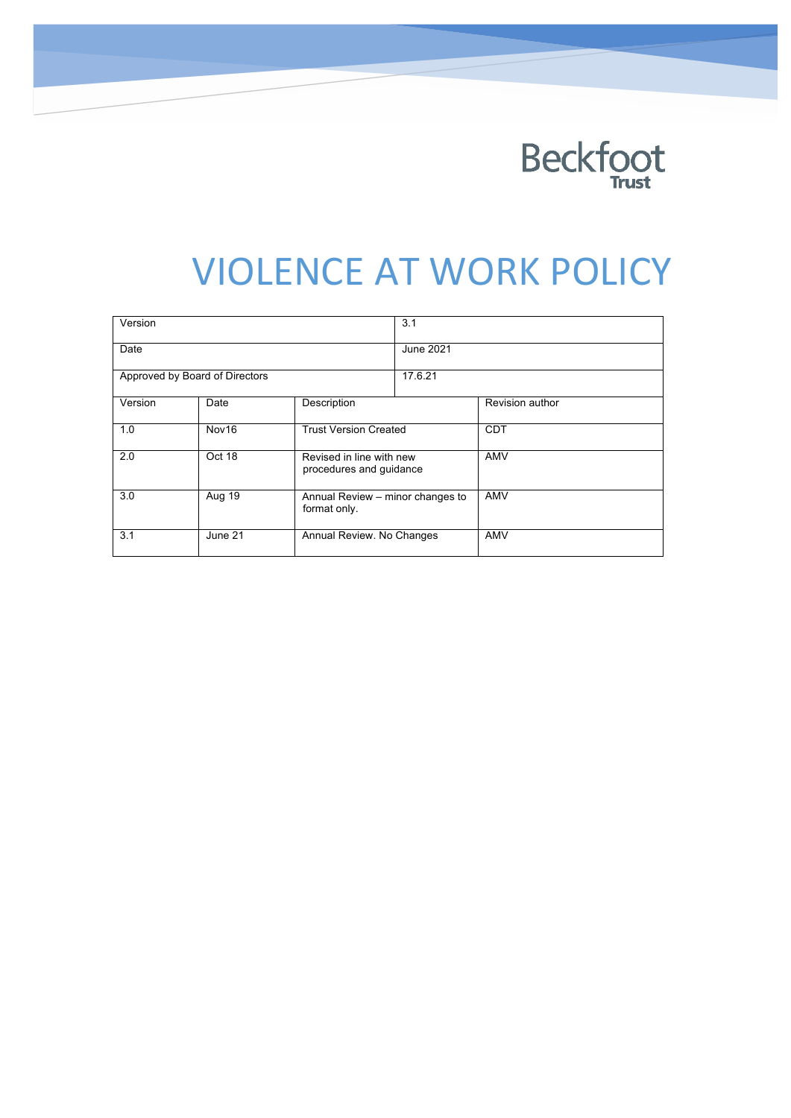

# **VIOLENCE AT WORK POLICY**

| Version                        |         |                                                     | 3.1       |                        |
|--------------------------------|---------|-----------------------------------------------------|-----------|------------------------|
| Date                           |         |                                                     | June 2021 |                        |
| Approved by Board of Directors |         |                                                     | 17.6.21   |                        |
| Version                        | Date    | Description                                         |           | <b>Revision author</b> |
| 1.0                            | Nov16   | <b>Trust Version Created</b>                        |           | <b>CDT</b>             |
| 2.0                            | Oct 18  | Revised in line with new<br>procedures and guidance |           | AMV                    |
| 3.0                            | Aug 19  | Annual Review – minor changes to<br>format only.    |           | AMV                    |
| 3.1                            | June 21 | Annual Review. No Changes                           |           | <b>AMV</b>             |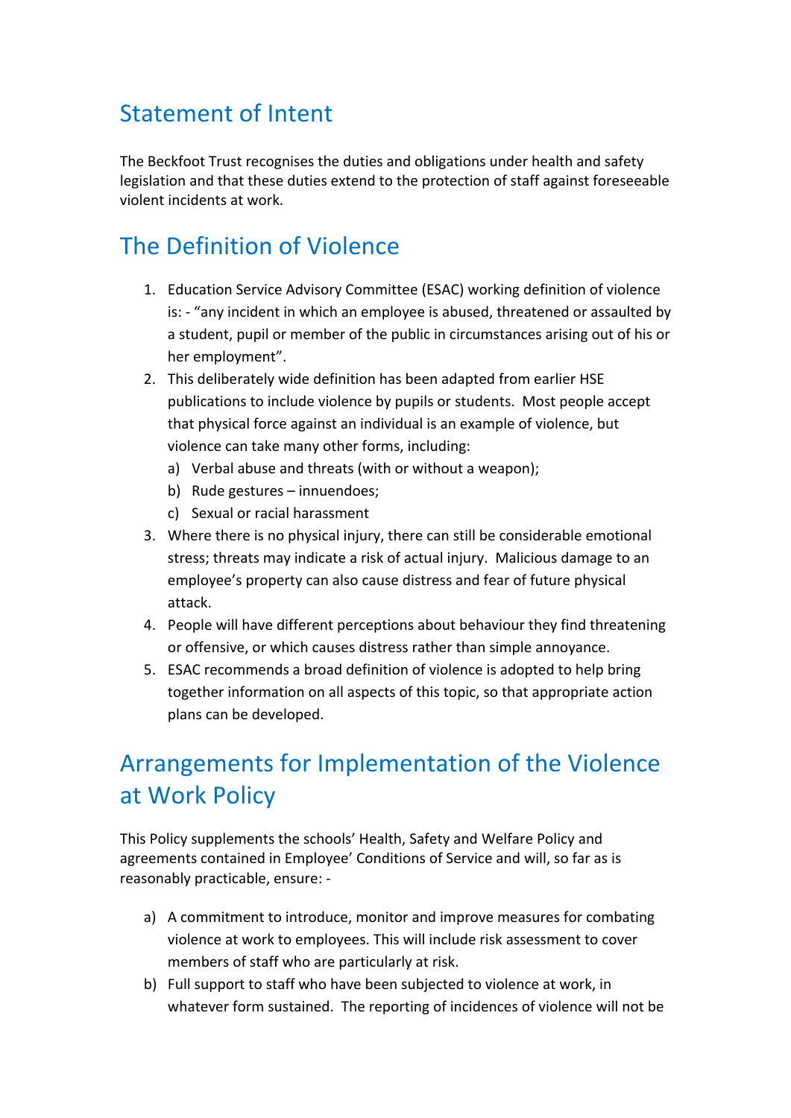#### **Statement of Intent**

The Beckfoot Trust recognises the duties and obligations under health and safety legislation and that these duties extend to the protection of staff against foreseeable violent incidents at work.

#### The Definition of Violence

- 1. Education Service Advisory Committee (ESAC) working definition of violence is: - "any incident in which an employee is abused, threatened or assaulted by a student, pupil or member of the public in circumstances arising out of his or her employment".
- 2. This deliberately wide definition has been adapted from earlier HSE publications to include violence by pupils or students. Most people accept that physical force against an individual is an example of violence, but violence can take many other forms, including:
	- a) Verbal abuse and threats (with or without a weapon);
	- b) Rude gestures innuendoes:
	- c) Sexual or racial harassment
- 3. Where there is no physical injury, there can still be considerable emotional stress; threats may indicate a risk of actual injury. Malicious damage to an employee's property can also cause distress and fear of future physical attack.
- 4. People will have different perceptions about behaviour they find threatening or offensive, or which causes distress rather than simple annoyance.
- 5. ESAC recommends a broad definition of violence is adopted to help bring together information on all aspects of this topic, so that appropriate action plans can be developed.

### Arrangements for Implementation of the Violence at Work Policy

This Policy supplements the schools' Health, Safety and Welfare Policy and agreements contained in Employee' Conditions of Service and will, so far as is reasonably practicable, ensure: -

- a) A commitment to introduce, monitor and improve measures for combating violence at work to employees. This will include risk assessment to cover members of staff who are particularly at risk.
- b) Full support to staff who have been subjected to violence at work, in whatever form sustained. The reporting of incidences of violence will not be